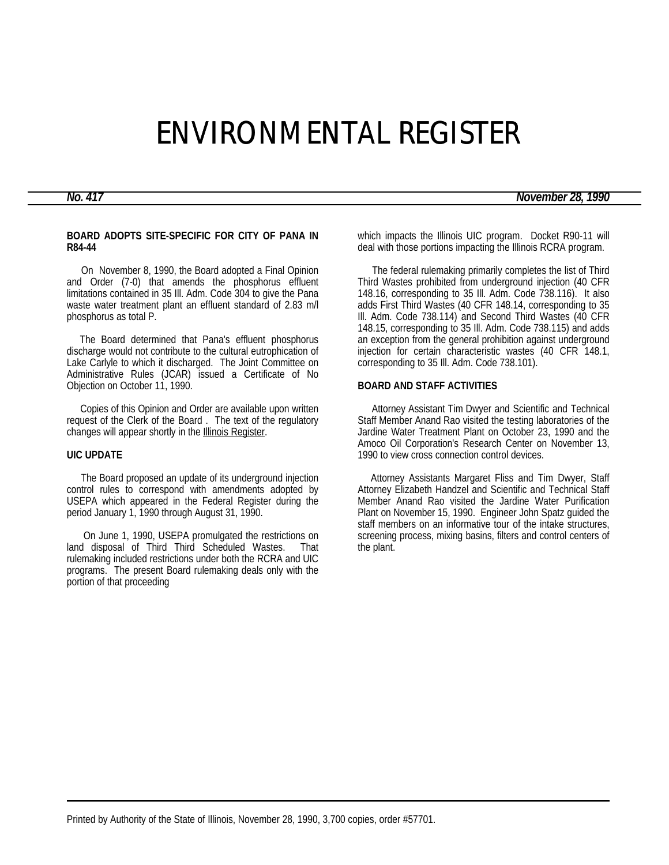# ENVIRONMENTAL REGISTER

*No. 417 November 28, 1990*

## **BOARD ADOPTS SITE-SPECIFIC FOR CITY OF PANA IN R84-44**

 On November 8, 1990, the Board adopted a Final Opinion and Order (7-0) that amends the phosphorus effluent limitations contained in 35 Ill. Adm. Code 304 to give the Pana waste water treatment plant an effluent standard of 2.83 m/l phosphorus as total P.

 The Board determined that Pana's effluent phosphorus discharge would not contribute to the cultural eutrophication of Lake Carlyle to which it discharged. The Joint Committee on Administrative Rules (JCAR) issued a Certificate of No Objection on October 11, 1990.

 Copies of this Opinion and Order are available upon written request of the Clerk of the Board . The text of the regulatory changes will appear shortly in the **Illinois Register**.

## **UIC UPDATE**

 The Board proposed an update of its underground injection control rules to correspond with amendments adopted by USEPA which appeared in the Federal Register during the period January 1, 1990 through August 31, 1990.

 On June 1, 1990, USEPA promulgated the restrictions on land disposal of Third Third Scheduled Wastes. That rulemaking included restrictions under both the RCRA and UIC programs. The present Board rulemaking deals only with the portion of that proceeding

which impacts the Illinois UIC program. Docket R90-11 will deal with those portions impacting the Illinois RCRA program.

 The federal rulemaking primarily completes the list of Third Third Wastes prohibited from underground injection (40 CFR 148.16, corresponding to 35 Ill. Adm. Code 738.116). It also adds First Third Wastes (40 CFR 148.14, corresponding to 35 Ill. Adm. Code 738.114) and Second Third Wastes (40 CFR 148.15, corresponding to 35 Ill. Adm. Code 738.115) and adds an exception from the general prohibition against underground injection for certain characteristic wastes (40 CFR 148.1, corresponding to 35 Ill. Adm. Code 738.101).

## **BOARD AND STAFF ACTIVITIES**

 Attorney Assistant Tim Dwyer and Scientific and Technical Staff Member Anand Rao visited the testing laboratories of the Jardine Water Treatment Plant on October 23, 1990 and the Amoco Oil Corporation's Research Center on November 13, 1990 to view cross connection control devices.

 Attorney Assistants Margaret Fliss and Tim Dwyer, Staff Attorney Elizabeth Handzel and Scientific and Technical Staff Member Anand Rao visited the Jardine Water Purification Plant on November 15, 1990. Engineer John Spatz guided the staff members on an informative tour of the intake structures, screening process, mixing basins, filters and control centers of the plant.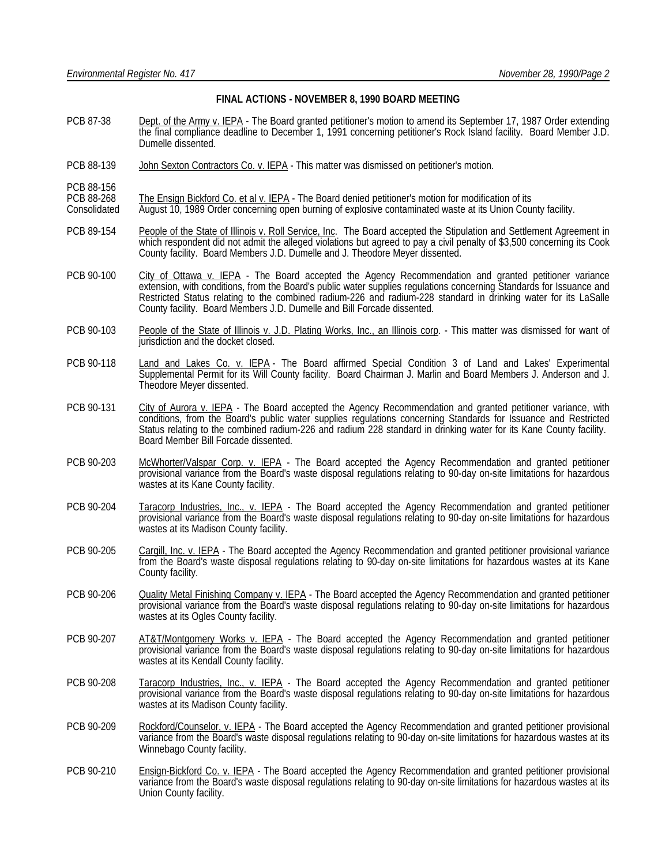### **FINAL ACTIONS - NOVEMBER 8, 1990 BOARD MEETING**

- PCB 87-38 Dept. of the Army v. IEPA The Board granted petitioner's motion to amend its September 17, 1987 Order extending the final compliance deadline to December 1, 1991 concerning petitioner's Rock Island facility. Board Member J.D. Dumelle dissented.
- PCB 88-139 John Sexton Contractors Co. v. IEPA This matter was dismissed on petitioner's motion.
- PCB 88-156
- PCB 88-268 The Ensign Bickford Co. et al v. IEPA The Board denied petitioner's motion for modification of its<br>Consolidated August 10, 1989 Order concerning open burning of explosive contaminated waste at its Union Cou
- August 10, 1989 Order concerning open burning of explosive contaminated waste at its Union County facility.
- PCB 89-154 People of the State of Illinois v. Roll Service, Inc. The Board accepted the Stipulation and Settlement Agreement in which respondent did not admit the alleged violations but agreed to pay a civil penalty of \$3,500 concerning its Cook County facility. Board Members J.D. Dumelle and J. Theodore Meyer dissented.
- PCB 90-100 City of Ottawa v. IEPA The Board accepted the Agency Recommendation and granted petitioner variance extension, with conditions, from the Board's public water supplies regulations concerning Standards for Issuance and Restricted Status relating to the combined radium-226 and radium-228 standard in drinking water for its LaSalle County facility. Board Members J.D. Dumelle and Bill Forcade dissented.
- PCB 90-103 People of the State of Illinois v. J.D. Plating Works, Inc., an Illinois corp. This matter was dismissed for want of jurisdiction and the docket closed.
- PCB 90-118 Land and Lakes Co. v. IEPA The Board affirmed Special Condition 3 of Land and Lakes' Experimental Supplemental Permit for its Will County facility. Board Chairman J. Marlin and Board Members J. Anderson and J. Theodore Meyer dissented.
- PCB 90-131 City of Aurora v. IEPA The Board accepted the Agency Recommendation and granted petitioner variance, with conditions, from the Board's public water supplies regulations concerning Standards for Issuance and Restricted Status relating to the combined radium-226 and radium 228 standard in drinking water for its Kane County facility. Board Member Bill Forcade dissented.
- PCB 90-203 McWhorter/Valspar Corp. v. IEPA The Board accepted the Agency Recommendation and granted petitioner provisional variance from the Board's waste disposal regulations relating to 90-day on-site limitations for hazardous wastes at its Kane County facility.
- PCB 90-204 Taracorp Industries, Inc., v. IEPA The Board accepted the Agency Recommendation and granted petitioner provisional variance from the Board's waste disposal regulations relating to 90-day on-site limitations for hazardous wastes at its Madison County facility.
- PCB 90-205 Cargill, Inc. v. IEPA The Board accepted the Agency Recommendation and granted petitioner provisional variance from the Board's waste disposal regulations relating to 90-day on-site limitations for hazardous wastes at its Kane County facility.
- PCB 90-206 Quality Metal Finishing Company v. IEPA The Board accepted the Agency Recommendation and granted petitioner provisional variance from the Board's waste disposal regulations relating to 90-day on-site limitations for hazardous wastes at its Ogles County facility.
- PCB 90-207 AT&T/Montgomery Works v. IEPA The Board accepted the Agency Recommendation and granted petitioner provisional variance from the Board's waste disposal regulations relating to 90-day on-site limitations for hazardous wastes at its Kendall County facility.
- PCB 90-208 Taracorp Industries, Inc., v. IEPA The Board accepted the Agency Recommendation and granted petitioner provisional variance from the Board's waste disposal regulations relating to 90-day on-site limitations for hazardous wastes at its Madison County facility.
- PCB 90-209 Rockford/Counselor, v. IEPA The Board accepted the Agency Recommendation and granted petitioner provisional variance from the Board's waste disposal regulations relating to 90-day on-site limitations for hazardous wastes at its Winnebago County facility.
- PCB 90-210 Ensign-Bickford Co. v. IEPA The Board accepted the Agency Recommendation and granted petitioner provisional variance from the Board's waste disposal regulations relating to 90-day on-site limitations for hazardous wastes at its Union County facility.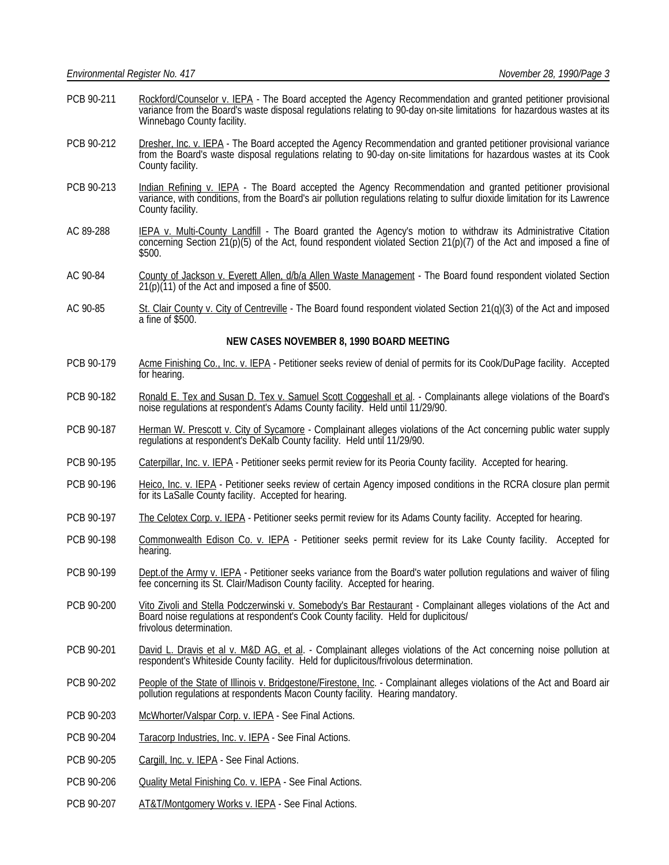- PCB 90-211 Rockford/Counselor v. IEPA The Board accepted the Agency Recommendation and granted petitioner provisional variance from the Board's waste disposal regulations relating to 90-day on-site limitations for hazardous wastes at its Winnebago County facility.
- PCB 90-212 Dresher, Inc. v. IEPA The Board accepted the Agency Recommendation and granted petitioner provisional variance from the Board's waste disposal regulations relating to 90-day on-site limitations for hazardous wastes at its Cook County facility.
- PCB 90-213 Indian Refining v. IEPA The Board accepted the Agency Recommendation and granted petitioner provisional variance, with conditions, from the Board's air pollution regulations relating to sulfur dioxide limitation for its Lawrence County facility.
- AC 89-288 **IEPA v. Multi-County Landfill** The Board granted the Agency's motion to withdraw its Administrative Citation concerning Section 21(p)(5) of the Act, found respondent violated Section 21(p)(7) of the Act and imposed a fine of \$500.
- AC 90-84 County of Jackson v. Everett Allen, d/b/a Allen Waste Management The Board found respondent violated Section  $21(p)(11)$  of the Act and imposed a fine of \$500.
- AC 90-85 St. Clair County v. City of Centreville The Board found respondent violated Section 21(q)(3) of the Act and imposed a fine of \$500.

### **NEW CASES NOVEMBER 8, 1990 BOARD MEETING**

- PCB 90-179 Acme Finishing Co., Inc. v. IEPA Petitioner seeks review of denial of permits for its Cook/DuPage facility. Accepted for hearing.
- PCB 90-182 Ronald E. Tex and Susan D. Tex v. Samuel Scott Coggeshall et al. Complainants allege violations of the Board's noise regulations at respondent's Adams County facility. Held until 11/29/90.
- PCB 90-187 Herman W. Prescott v. City of Sycamore Complainant alleges violations of the Act concerning public water supply regulations at respondent's DeKalb County facility. Held until 11/29/90.
- PCB 90-195 Caterpillar, Inc. v. IEPA Petitioner seeks permit review for its Peoria County facility. Accepted for hearing.
- PCB 90-196 Heico, Inc. v. IEPA Petitioner seeks review of certain Agency imposed conditions in the RCRA closure plan permit for its LaSalle County facility. Accepted for hearing.
- PCB 90-197 The Celotex Corp. v. IEPA Petitioner seeks permit review for its Adams County facility. Accepted for hearing.
- PCB 90-198 Commonwealth Edison Co. v. IEPA Petitioner seeks permit review for its Lake County facility. Accepted for hearing.
- PCB 90-199 Dept.of the Army v. IEPA Petitioner seeks variance from the Board's water pollution regulations and waiver of filing fee concerning its St. Clair/Madison County facility. Accepted for hearing.
- PCB 90-200 Vito Zivoli and Stella Podczerwinski v. Somebody's Bar Restaurant Complainant alleges violations of the Act and Board noise regulations at respondent's Cook County facility. Held for duplicitous/ frivolous determination.
- PCB 90-201 David L. Dravis et al v. M&D AG, et al. Complainant alleges violations of the Act concerning noise pollution at respondent's Whiteside County facility. Held for duplicitous/frivolous determination.
- PCB 90-202 People of the State of Illinois v. Bridgestone/Firestone, Inc. Complainant alleges violations of the Act and Board air pollution regulations at respondents Macon County facility. Hearing mandatory.
- PCB 90-203 McWhorter/Valspar Corp. v. IEPA See Final Actions.
- PCB 90-204 Taracorp Industries, Inc. v. IEPA See Final Actions.
- PCB 90-205 Cargill, Inc. v. IEPA See Final Actions.
- PCB 90-206 Quality Metal Finishing Co. v. IEPA See Final Actions.
- PCB 90-207 AT&T/Montgomery Works v. IEPA See Final Actions.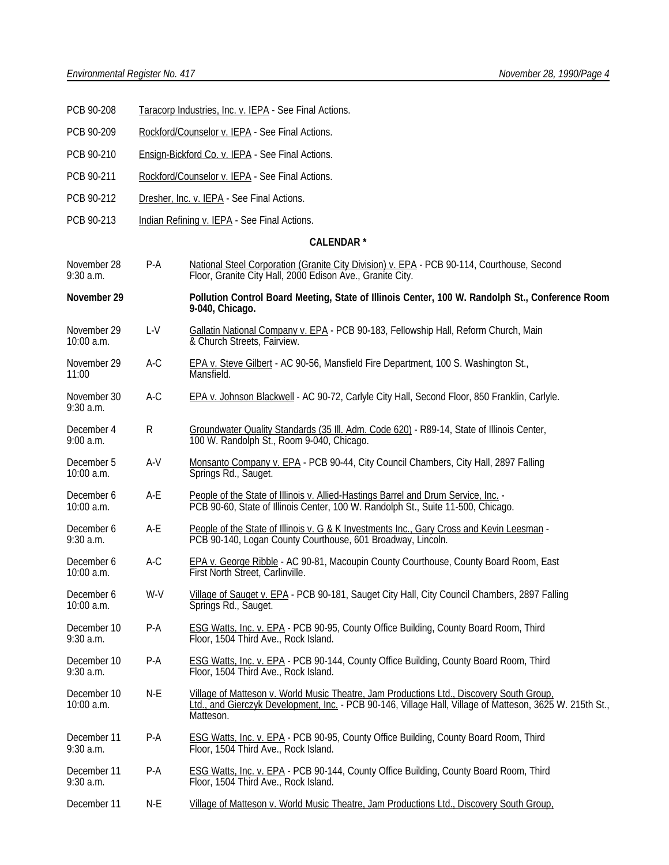- PCB 90-208 Taracorp Industries, Inc. v. IEPA See Final Actions.
- PCB 90-209 Rockford/Counselor v. IEPA See Final Actions.
- PCB 90-210 Ensign-Bickford Co. v. IEPA See Final Actions.
- PCB 90-211 Rockford/Counselor v. IEPA See Final Actions.
- PCB 90-212 Dresher, Inc. v. IEPA See Final Actions.
- PCB 90-213 Indian Refining v. IEPA See Final Actions.

### **CALENDAR \***

- November 28 P-A National Steel Corporation (Granite City Division) v. EPA PCB 90-114, Courthouse, Second 9:30 a.m. Floor, Granite City Hall, 2000 Edison Ave., Granite City.
- **November 29 Pollution Control Board Meeting, State of Illinois Center, 100 W. Randolph St., Conference Room 9-040, Chicago.**
- November 29 L-V Gallatin National Company v. EPA PCB 90-183, Fellowship Hall, Reform Church, Main<br>10:00 a.m. **Cambridge Church Streets, Fairview**.  $& Church \text{ Streets. Fairview.}$
- November 29 A-C EPA v. Steve Gilbert AC 90-56, Mansfield Fire Department, 100 S. Washington St., 11:00 Mansfield.
- November 30 A-C EPA v. Johnson Blackwell AC 90-72, Carlyle City Hall, Second Floor, 850 Franklin, Carlyle. 9:30 a.m.
- December 4 R Groundwater Quality Standards (35 III. Adm. Code 620) R89-14, State of Illinois Center,<br>9:00 a.m. 100 W. Randolph St., Room 9-040, Chicago. 100 W. Randolph St., Room 9-040, Chicago.
- December 5 A-V Monsanto Company v. EPA PCB 90-44, City Council Chambers, City Hall, 2897 Falling<br>10:00 a.m. Springs Rd., Sauget. Springs Rd., Sauget.
- December 6 A-E People of the State of Illinois v. Allied-Hastings Barrel and Drum Service, Inc. -<br>10:00 a.m. **PCB 90-60.** State of Illinois Center. 100 W. Randolph St., Suite 11-500. Chicag PCB 90-60, State of Illinois Center, 100 W. Randolph St., Suite 11-500, Chicago.
- December 6 A-E People of the State of Illinois v. G & K Investments Inc., Gary Cross and Kevin Leesman -<br>9:30 a.m. PCB 90-140. Logan County Courthouse. 601 Broadway. Lincoln. PCB 90-140, Logan County Courthouse, 601 Broadway, Lincoln.
- December 6 A-C EPA v. George Ribble AC 90-81, Macoupin County Courthouse, County Board Room, East 10:00 a.m. First North Street, Carlinville.
- December 6 W-V Village of Sauget v. EPA PCB 90-181, Sauget City Hall, City Council Chambers, 2897 Falling<br>10:00 a.m. Springs Rd., Sauget. Springs Rd., Sauget.
- December 10 P-A ESG Watts, Inc. v. EPA PCB 90-95, County Office Building, County Board Room, Third 9:30 a.m. Floor, 1504 Third Ave., Rock Island.
- December 10 P-A ESG Watts, Inc. v. EPA PCB 90-144, County Office Building, County Board Room, Third 9:30 a.m. Floor, 1504 Third Ave., Rock Island.
- December 10 N-E Village of Matteson v. World Music Theatre, Jam Productions Ltd., Discovery South Group, 10:00<br>10:00 a.m. Ltd., and Gierczyk Development. Inc. PCB 90-146. Village Hall. Village of Matteson. 3625 Ltd., and Gierczyk Development, Inc. - PCB 90-146, Village Hall, Village of Matteson, 3625 W. 215th St., Matteson.
- December 11 P-A ESG Watts, Inc. v. EPA PCB 90-95, County Office Building, County Board Room, Third 9:30 a.m. Floor, 1504 Third Ave., Rock Island.
- December 11 P-A ESG Watts, Inc. v. EPA PCB 90-144, County Office Building, County Board Room, Third 9:30 a.m. Floor, 1504 Third Ave., Rock Island.
- December 11 N-E Village of Matteson v. World Music Theatre, Jam Productions Ltd., Discovery South Group,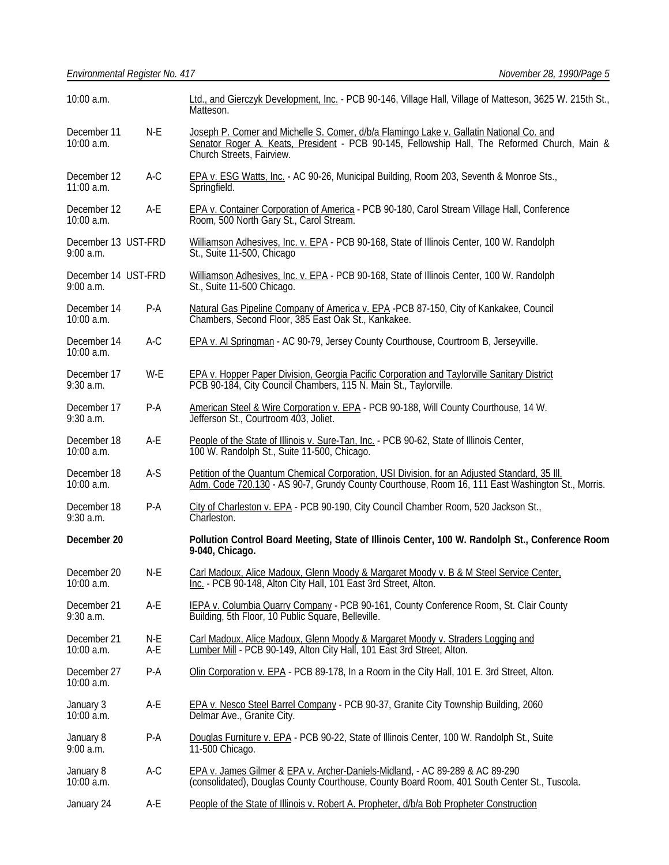| 10:00 a.m.                         |            | Ltd., and Gierczyk Development, Inc. - PCB 90-146, Village Hall, Village of Matteson, 3625 W. 215th St.,<br>Matteson.                                                                                                |  |  |
|------------------------------------|------------|----------------------------------------------------------------------------------------------------------------------------------------------------------------------------------------------------------------------|--|--|
| December 11<br>10:00 a.m.          | $N-E$      | Joseph P. Comer and Michelle S. Comer, d/b/a Flamingo Lake v. Gallatin National Co. and<br>Senator Roger A. Keats, President - PCB 90-145, Fellowship Hall, The Reformed Church, Main &<br>Church Streets, Fairview. |  |  |
| December 12<br>$11:00$ a.m.        | $A-C$      | EPA v. ESG Watts, Inc. - AC 90-26, Municipal Building, Room 203, Seventh & Monroe Sts.,<br>Springfield.                                                                                                              |  |  |
| December 12<br>10:00 a.m.          | A-E        | EPA v. Container Corporation of America - PCB 90-180, Carol Stream Village Hall, Conference<br>Room, 500 North Gary St., Carol Stream.                                                                               |  |  |
| December 13 UST-FRD<br>$9:00$ a.m. |            | Williamson Adhesives, Inc. v. EPA - PCB 90-168, State of Illinois Center, 100 W. Randolph<br>St., Suite 11-500, Chicago                                                                                              |  |  |
| December 14 UST-FRD<br>$9:00$ a.m. |            | Williamson Adhesives, Inc. v. EPA - PCB 90-168, State of Illinois Center, 100 W. Randolph<br>St., Suite 11-500 Chicago.                                                                                              |  |  |
| December 14<br>10:00 a.m.          | P-A        | Natural Gas Pipeline Company of America v. EPA -PCB 87-150, City of Kankakee, Council Chambers, Second Floor, 385 East Oak St., Kankakee.                                                                            |  |  |
| December 14<br>10:00 a.m.          | $A-C$      | EPA v. Al Springman - AC 90-79, Jersey County Courthouse, Courtroom B, Jerseyville.                                                                                                                                  |  |  |
| December 17<br>$9:30$ a.m.         | W-E        | EPA v. Hopper Paper Division, Georgia Pacific Corporation and Taylorville Sanitary District PCB 90-184, City Council Chambers, 115 N. Main St., Taylorville.                                                         |  |  |
| December 17<br>$9:30$ a.m.         | P-A        | American Steel & Wire Corporation v. EPA - PCB 90-188, Will County Courthouse, 14 W.<br>Jefferson St., Courtroom 403, Joliet.                                                                                        |  |  |
| December 18<br>10:00 a.m.          | A-E        | People of the State of Illinois v. Sure-Tan, Inc. - PCB 90-62, State of Illinois Center,<br>100 W. Randolph St., Suite 11-500, Chicago.                                                                              |  |  |
| December 18<br>10:00 a.m.          | $A-S$      | Petition of the Quantum Chemical Corporation, USI Division, for an Adjusted Standard, 35 III.<br>Adm. Code 720.130 - AS 90-7, Grundy County Courthouse, Room 16, 111 East Washington St., Morris.                    |  |  |
| December 18<br>$9:30$ a.m.         | $P-A$      | City of Charleston v. EPA - PCB 90-190, City Council Chamber Room, 520 Jackson St.,<br>Charleston.                                                                                                                   |  |  |
| December 20                        |            | Pollution Control Board Meeting, State of Illinois Center, 100 W. Randolph St., Conference Room<br>9-040, Chicago.                                                                                                   |  |  |
| December 20<br>TU:00 a.m.          | N-E        | Carl Madoux, Alice Madoux, Glenn Moody & Margaret Moody v. B & M Steel Service Center,<br>Inc. - PCB 90-148, Alton City Hall, 101 East 3rd Street, Alton.                                                            |  |  |
| December 21<br>$9:30$ a.m.         | A-E        | IEPA v. Columbia Quarry Company - PCB 90-161, County Conference Room, St. Clair County<br>Building, 5th Floor, 10 Public Square, Belleville.                                                                         |  |  |
| December 21<br>10:00 a.m.          | N-E<br>A-E | Carl Madoux, Alice Madoux, Glenn Moody & Margaret Moody v. Straders Logging and<br>Lumber Mill - PCB 90-149, Alton City Hall, 101 East 3rd Street, Alton.                                                            |  |  |
| December 27<br>10:00 a.m.          | $P-A$      | Olin Corporation v. EPA - PCB 89-178, In a Room in the City Hall, 101 E. 3rd Street, Alton.                                                                                                                          |  |  |
| January 3<br>10:00 a.m.            | A-E        | EPA v. Nesco Steel Barrel Company - PCB 90-37, Granite City Township Building, 2060<br>Delmar Ave., Granite City.                                                                                                    |  |  |
| January 8<br>9:00 a.m.             | P-A        | Douglas Furniture v. EPA - PCB 90-22, State of Illinois Center, 100 W. Randolph St., Suite<br>11-500 Chicago.                                                                                                        |  |  |
| January 8<br>10:00 a.m.            | A-C        | EPA v. James Gilmer & EPA v. Archer-Daniels-Midland, - AC 89-289 & AC 89-290<br>(consolidated), Douglas County Courthouse, County Board Room, 401 South Center St., Tuscola.                                         |  |  |
| January 24                         | A-E        | People of the State of Illinois v. Robert A. Propheter, d/b/a Bob Propheter Construction                                                                                                                             |  |  |